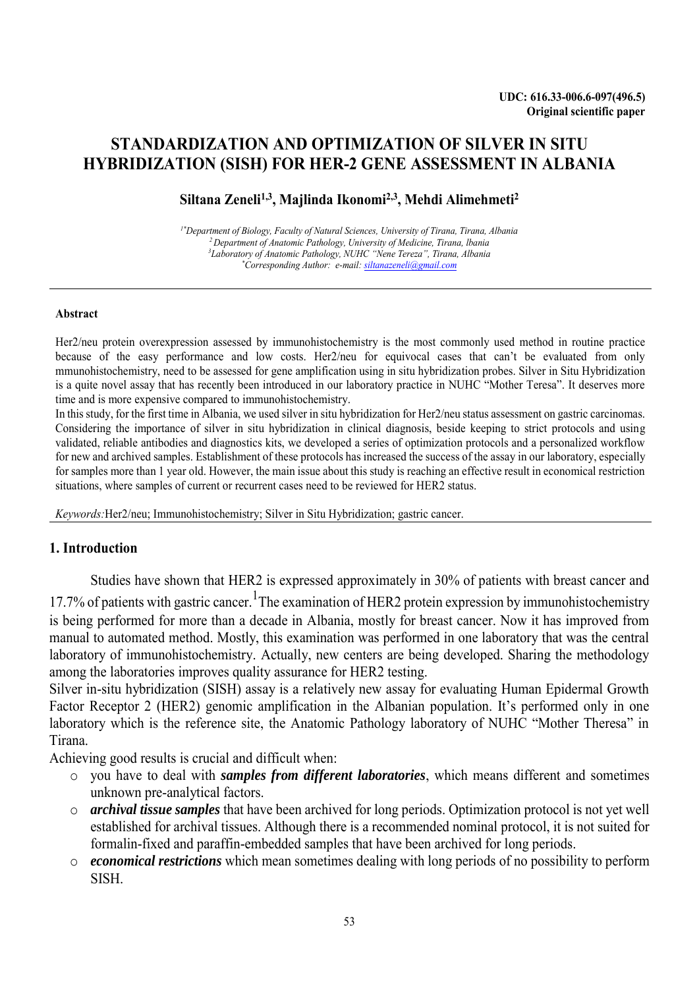# **STANDARDIZATION AND OPTIMIZATION OF SILVER IN SITU HYBRIDIZATION (SISH) FOR HER-2 GENE ASSESSMENT IN ALBANIA**

## **Siltana Zeneli1,3, Majlinda Ikonomi2,3, Mehdi Alimehmeti<sup>2</sup>**

*1\*Department of Biology, Faculty of Natural Sciences, University of Tirana, Tirana, Albania <sup>2</sup>Department of Anatomic Pathology, University of Medicine, Tirana, lbania <sup>3</sup>Laboratory of Anatomic Pathology, NUHC "Nene Tereza", Tirana, Albania \*Corresponding Author: e-mail: siltanazeneli@gmail.com*

#### **Abstract**

Her2/neu protein overexpression assessed by immunohistochemistry is the most commonly used method in routine practice because of the easy performance and low costs. Her2/neu for equivocal cases that can't be evaluated from only mmunohistochemistry, need to be assessed for gene amplification using in situ hybridization probes. Silver in Situ Hybridization is a quite novel assay that has recently been introduced in our laboratory practice in NUHC "Mother Teresa". It deserves more time and is more expensive compared to immunohistochemistry.

In this study, for the first time in Albania, we used silver in situ hybridization for Her2/neu status assessment on gastric carcinomas. Considering the importance of silver in situ hybridization in clinical diagnosis, beside keeping to strict protocols and using validated, reliable antibodies and diagnostics kits, we developed a series of optimization protocols and a personalized workflow for new and archived samples. Establishment of these protocols has increased the success of the assay in our laboratory, especially for samples more than 1 year old. However, the main issue about this study is reaching an effective result in economical restriction situations, where samples of current or recurrent cases need to be reviewed for HER2 status.

*Keywords:*Her2/neu; Immunohistochemistry; Silver in Situ Hybridization; gastric cancer.

#### **1. Introduction**

Studies have shown that HER2 is expressed approximately in 30% of patients with breast cancer and

17.7% of patients with gastric cancer. <sup>1</sup>The examination of HER2 protein expression by immunohistochemistry is being performed for more than a decade in Albania, mostly for breast cancer. Now it has improved from manual to automated method. Mostly, this examination was performed in one laboratory that was the central laboratory of immunohistochemistry. Actually, new centers are being developed. Sharing the methodology among the laboratories improves quality assurance for HER2 testing.

Silver in-situ hybridization (SISH) assay is a relatively new assay for evaluating Human Epidermal Growth Factor Receptor 2 (HER2) genomic amplification in the Albanian population. It's performed only in one laboratory which is the reference site, the Anatomic Pathology laboratory of NUHC "Mother Theresa" in Tirana.

Achieving good results is crucial and difficult when:

- o you have to deal with *samples from different laboratories*, which means different and sometimes unknown pre-analytical factors.
- o *archival tissue samples* that have been archived for long periods. Optimization protocol is not yet well established for archival tissues. Although there is a recommended nominal protocol, it is not suited for formalin-fixed and paraffin-embedded samples that have been archived for long periods.
- o *economical restrictions* which mean sometimes dealing with long periods of no possibility to perform SISH.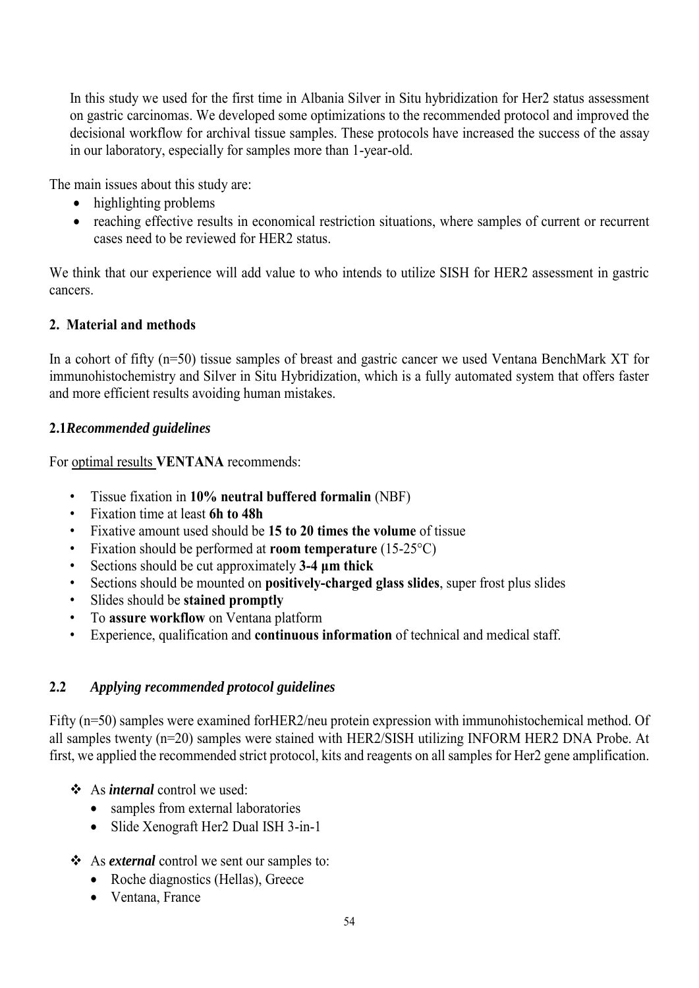In this study we used for the first time in Albania Silver in Situ hybridization for Her2 status assessment on gastric carcinomas. We developed some optimizations to the recommended protocol and improved the decisional workflow for archival tissue samples. These protocols have increased the success of the assay in our laboratory, especially for samples more than 1-year-old.

The main issues about this study are:

- highlighting problems
- reaching effective results in economical restriction situations, where samples of current or recurrent cases need to be reviewed for HER2 status.

We think that our experience will add value to who intends to utilize SISH for HER2 assessment in gastric cancers.

# **2. Material and methods**

In a cohort of fifty (n=50) tissue samples of breast and gastric cancer we used Ventana BenchMark XT for immunohistochemistry and Silver in Situ Hybridization, which is a fully automated system that offers faster and more efficient results avoiding human mistakes.

## **2.1***Recommended guidelines*

For optimal results **VENTANA** recommends:

- Tissue fixation in **10% neutral buffered formalin** (NBF)
- Fixation time at least **6h to 48h**
- Fixative amount used should be **15 to 20 times the volume** of tissue
- Fixation should be performed at **room temperature** (15-25°C)
- Sections should be cut approximately **3-4 μm thick**
- Sections should be mounted on **positively-charged glass slides**, super frost plus slides
- Slides should be **stained promptly**
- To **assure workflow** on Ventana platform
- Experience, qualification and **continuous information** of technical and medical staff.

# **2.2** *Applying recommended protocol guidelines*

Fifty (n=50) samples were examined for HER2/neu protein expression with immunohistochemical method. Of all samples twenty (n=20) samples were stained with HER2/SISH utilizing INFORM HER2 DNA Probe. At first, we applied the recommended strict protocol, kits and reagents on all samples for Her2 gene amplification.

- As *internal* control we used:
	- samples from external laboratories
	- Slide Xenograft Her2 Dual ISH 3-in-1
- As *external* control we sent our samples to:
	- Roche diagnostics (Hellas), Greece
	- Ventana, France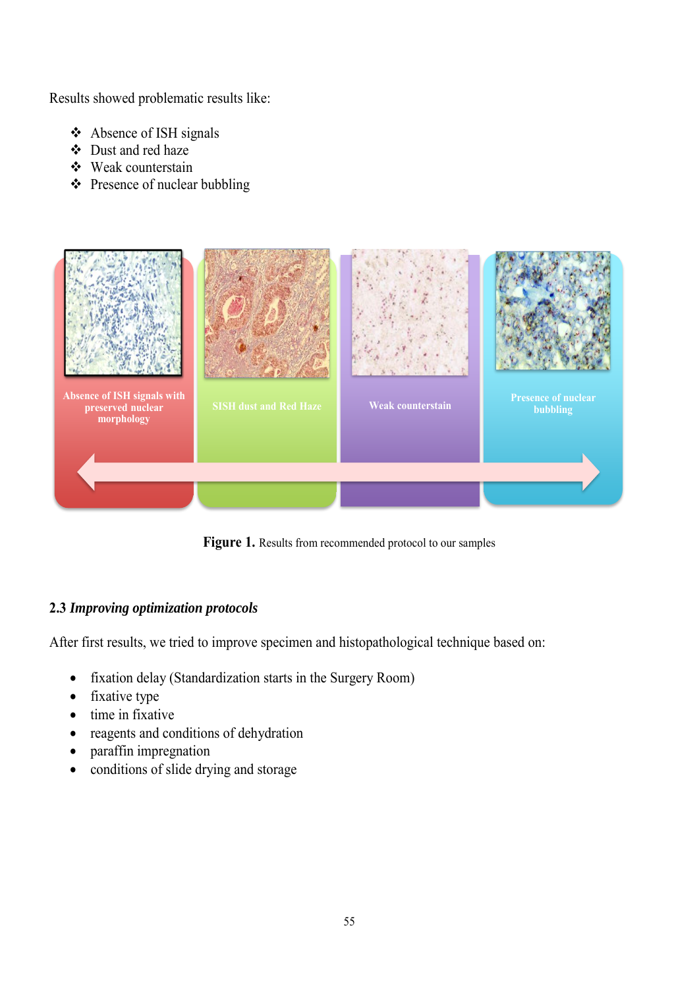Results showed problematic results like:

- Absence of ISH signals
- ❖ Dust and red haze
- Weak counterstain
- $\triangle$  Presence of nuclear bubbling



Figure 1. Results from recommended protocol to our samples

## **2.3** *Improving optimization protocols*

After first results, we tried to improve specimen and histopathological technique based on:

- fixation delay (Standardization starts in the Surgery Room)
- fixative type
- $\bullet$  time in fixative
- reagents and conditions of dehydration
- paraffin impregnation
- conditions of slide drying and storage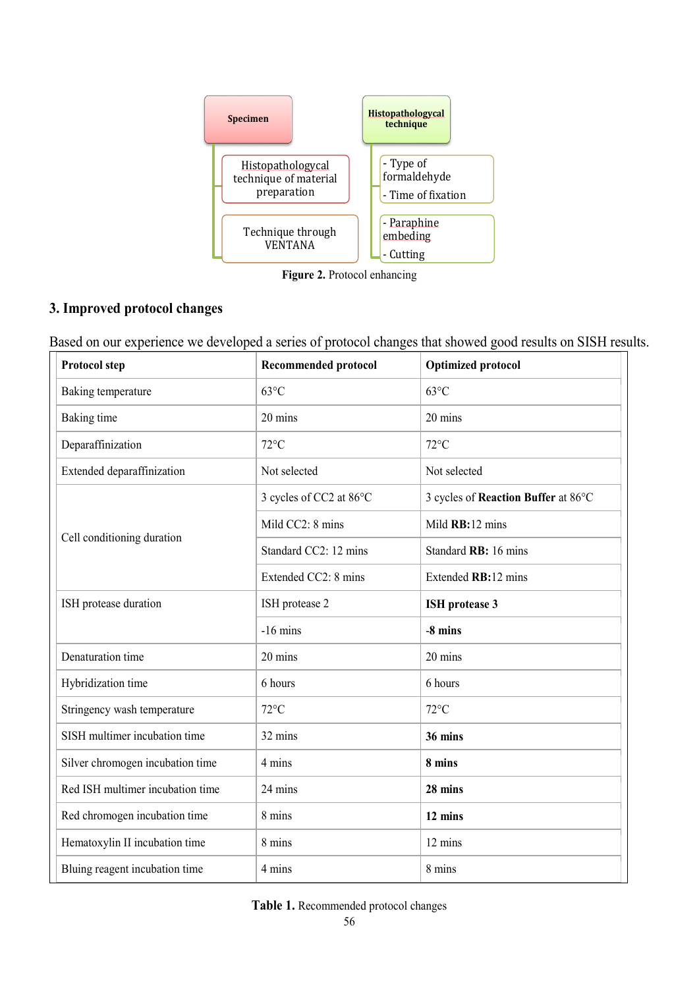

**Figure 2.** Protocol enhancing

## **3. Improved protocol changes**

Based on our experience we developed a series of protocol changes that showed good results on SISH results.

| <b>Protocol step</b>             | <b>Recommended protocol</b> | <b>Optimized protocol</b>           |
|----------------------------------|-----------------------------|-------------------------------------|
| Baking temperature               | $63^{\circ}$ C              | $63^{\circ}$ C                      |
| Baking time                      | 20 mins                     | 20 mins                             |
| Deparaffinization                | $72^{\circ}$ C              | $72^{\circ}$ C                      |
| Extended deparaffinization       | Not selected                | Not selected                        |
| Cell conditioning duration       | 3 cycles of CC2 at 86°C     | 3 cycles of Reaction Buffer at 86°C |
|                                  | Mild CC2: 8 mins            | Mild RB:12 mins                     |
|                                  | Standard CC2: 12 mins       | Standard RB: 16 mins                |
|                                  | Extended CC2: 8 mins        | Extended RB:12 mins                 |
| ISH protease duration            | ISH protease 2              | <b>ISH</b> protease 3               |
|                                  | $-16$ mins                  | -8 mins                             |
| Denaturation time                | 20 mins                     | 20 mins                             |
| Hybridization time               | 6 hours                     | 6 hours                             |
| Stringency wash temperature      | $72^{\circ}$ C              | $72^{\circ}$ C                      |
| SISH multimer incubation time    | 32 mins                     | 36 mins                             |
| Silver chromogen incubation time | 4 mins                      | 8 mins                              |
| Red ISH multimer incubation time | 24 mins                     | 28 mins                             |
| Red chromogen incubation time    | 8 mins                      | 12 mins                             |
| Hematoxylin II incubation time   | 8 mins                      | 12 mins                             |
| Bluing reagent incubation time   | 4 mins                      | 8 mins                              |

**Table 1.** Recommended protocol changes